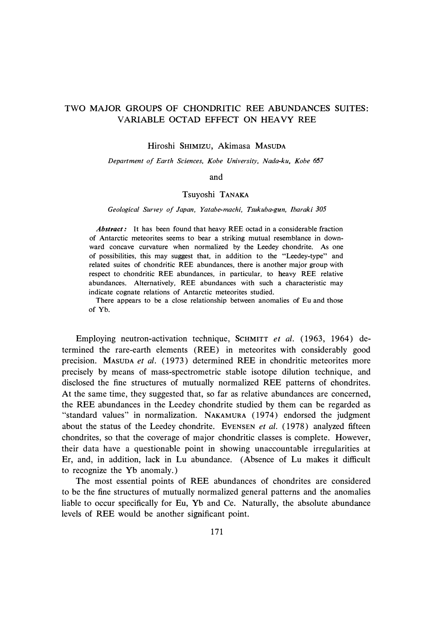## TWO MAJOR GROUPS OF CHONDRITIC REE ABUNDANCES SUITES: VARIABLE OCTAD EFFECT ON HEAVY REE

Hiroshi SHIMIZU, Akimasa MASUDA

*Department of Earth Sciences, Kobe University, Nada-ku, Kobe 657* 

and

## Tsuyoshi TANAKA

*Geological Survey of Japan, Yatabe-machi, Tsukuba-gun, Ibaraki 305* 

*Abstract:* It has been found that heavy REE octad in a considerable fraction of Antarctic meteorites seems to bear a striking mutual resemblance in downward concave curvature when normalized by the Leedey chondrite. As one of possibilities, this may suggest that, in addition to the "Leedey-type" and related suites of chondritic REE abundances, there is another major group with respect to chondritic REE abundances, in particular, to heavy REE relative abundances. Alternatively, REE abundances with such a characteristic may indicate cognate relations of Antarctic meteorites studied.

There appears to be a close relationship between anomalies of Eu and those of Yb.

Employing neutron-activation technique, SCHMITT *et al.* ( 1963, 1964) determined the rare-earth elements (REE) in meteorites with considerably good precision. MASUDA *et al.* (1973) determined REE in chondritic meteorites more precisely by means of mass-spectrometric stable isotope dilution technique, and disclosed the fine structures of mutually normalized REE patterns of chondrites. At the same time, they suggested that, so far as relative abundances are concerned, the REE abundances in the Leedey chondrite studied by them can be regarded as "standard values" in normalization. NAKAMURA (1974) endorsed the judgment about the status of the Leedey chondrite. EVENSEN *et al.* ( 1978) analyzed fifteen chondrites, so that the coverage of major chondritic classes is complete. However, their data have a questionable point in showing unaccountable irregularities at Er, and, in addition, lack in Lu abundance. (Absence of Lu makes it difficult to recognize the Yb anomaly.)

The most essential points of REE abundances of chondrites are considered to be the fine structures of mutually normalized general patterns and the anomalies liable to occur specifically for Eu, Yb and Ce. Naturally, the absolute abundance levels of REE would be another significant point.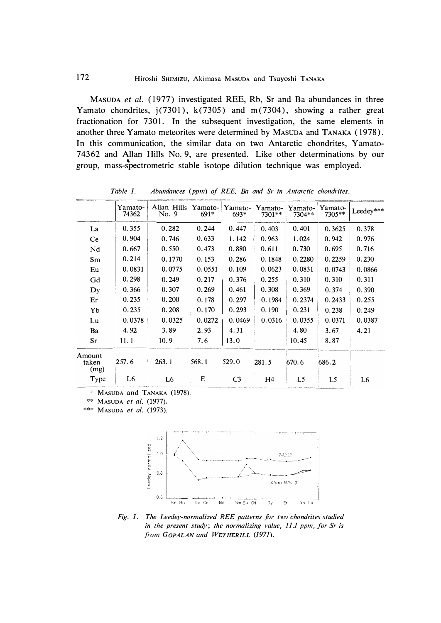MASUDA *et al.* ( 1977) investigated REE, Rb, Sr and Ba abundances in three Yamato chondrites, j(7301), k(7305) and m(7304), showing a rather great fractionation for 7301. In the subsequent investigation, the same elements in another three Yamato meteorites were determined by MASUDA and TANAKA (1978). In this communication, the similar data on two Antarctic chondrites, Yamato-74362 and Allan Hills No. 9, are presented. Like other determinations by our group, mass-spectrometric stable isotope dilution technique was employed.

|                         | Yamato-<br>74362 | Allan Hills<br>No. 9 | Yamato-<br>$691*$ | Yamato-<br>693* | Yamato-<br>7301** | Yamato-<br>7304** | Yamato-<br>7305** | Leedey***      |
|-------------------------|------------------|----------------------|-------------------|-----------------|-------------------|-------------------|-------------------|----------------|
| La                      | 0.355            | 0.282                | 0.244             | 0.447           | 0.403             | 0.401             | 0.3625            | 0.378          |
| Ce                      | 0.904            | 0.746                | 0.633             | 1.142           | 0.963             | 1.024             | 0.942             | 0.976          |
| Nd                      | 0.667            | 0.550                | 0.473             | 0.880           | 0.611             | 0.730             | 0.695             | 0.716          |
| Sm                      | 0.214            | 0.1770               | 0.153             | 0.286           | 0.1848            | 0.2280            | 0.2259            | 0.230          |
| Eu                      | 0.0831           | 0.0775               | 0.0551            | 0.109           | 0.0623            | 0.0831            | 0.0743            | 0.0866         |
| Gd                      | 0.298            | 0.249                | 0.217             | 0.376           | 0.255             | 0.310             | 0.310             | 0.311          |
| $\mathbf{D}$ y          | 0.366            | 0.307                | 0.269             | 0.461           | 0.308             | 0.369             | 0.374             | 0.390          |
| Er                      | 0.235            | 0.200                | 0.178             | 0.297           | 0.1984            | 0.2374            | 0.2433            | 0.255          |
| Yb                      | 0.235            | 0.208                | 0.170             | 0.293           | 0.190             | 0.231             | 0.238             | 0.249          |
| Lu                      | 0.0378           | 0.0325               | 0.0272            | 0.0469          | 0.0316            | 0.0355            | 0.0371            | 0.0387         |
| Ba                      | 4.92             | 3.89                 | 2.93              | 4.31            |                   | 4.80              | 3.67              | 4.21           |
| Sr                      | 11.1             | 10.9                 | 7.6               | 13.0            |                   | 10.45             | 8.87              |                |
| Amount<br>taken<br>(mg) | 257.6            | 263.1                | 568.1             | 529.0           | 281.5             | 670.6             | 686.2             |                |
| Type                    | L6               | L <sub>6</sub>       | E                 | C <sub>3</sub>  | H <sub>4</sub>    | L5                | L5                | L <sub>6</sub> |

*Table 1. Abundances (ppm) of REE, Ba and Sr in Antarctic chondrites.* 

\* MASUDA and TANAKA (1978).

\*\* MASUDA *et al.* (1977).

\*\*\* MASUDA *et al.* (1973).



*Fig. 1. The Leedey-normalized REE patterns for two chondrites studied in the present study; the normalizing value, 11.1 ppm, for Sr is <sup>f</sup><sup>r</sup>om GoPALAN and WETHERILL (197 1).*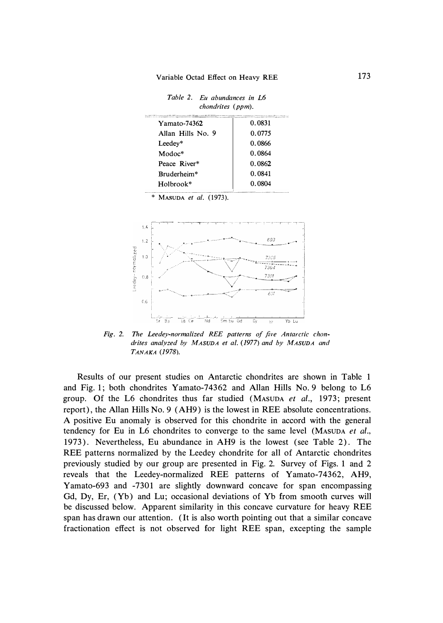*Table 2. Eu abundances in L6 chondrites (ppm).* 

| <b>CONTINUES IN OUR REAL PROPERTY OF SHIPPING AND A SPEED PROPERTY AND CONTINUES.</b><br><b>AND AREA</b> |        |  |  |
|----------------------------------------------------------------------------------------------------------|--------|--|--|
| Yamato-74362                                                                                             | 0.0831 |  |  |
| Allan Hills No. 9                                                                                        | 0.0775 |  |  |
| Leedey*                                                                                                  | 0.0866 |  |  |
| $Modoc*$                                                                                                 | 0.0864 |  |  |
| Peace River*                                                                                             | 0.0862 |  |  |
| Bruderheim*                                                                                              | 0.0841 |  |  |
| Holbrook*                                                                                                | 0.0804 |  |  |
|                                                                                                          |        |  |  |

\* **MASUDA** *et al.* (1973).



*Fig. 2. The Leedey-normalized REE patterns of five Antarctic chondrites analyzed by MASUDA et al. (1977) and by MASUDA and TANAKA (1978).* 

Results of our present studies on Antarctic chondrites are shown in Table 1 and Fig. 1; both chondrites Yamato-74362 and Allan Hills No. 9 belong to L6 group. Of the L6 chondrites thus far studied **(MASUDA** *et al.,* 1973; present report), the Allan Hills No. 9 (AH9) is the lowest in REE absolute concentrations. A positive Eu anomaly is observed for this chondrite in accord with the general tendency for Eu in L6 chondrites to converge to the same level **(MASUDA** *et al.,*  1973). Nevertheless, Eu abundance in AH9 is the lowest (see Table 2). The REE patterns normalized by the Leedey chondrite for all of Antarctic chondrites previously studied by our group are presented in Fig. 2. Survey of Figs. 1 and 2 reveals that the Leedey-normalized REE patterns of Yamato-74362, AH9, Yamato-693 and -7301 are slightly downward concave for span encompassing Gd, Dy, Er, (Yb) and Lu; occasional deviations of Yb from smooth curves will be discussed below. Apparent similarity in this concave curvature for heavy REE span has drawn our attention. (It is also worth pointing out that a similar concave fractionation effect is not observed for light REE span, excepting the sample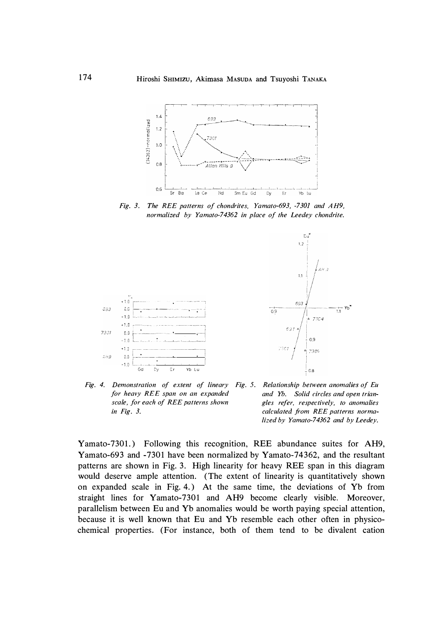

*Fig. 3. The REE patterns of chondrites, Yamato-693, -7301 and AH9, normalized by Yamato-74362 in place of the Leedey chondrite.* 





*Fig. 4. Demonstration of extent of lineary Fig. 5. Relationship between anomalies of Eu for heavy REE span on an expanded scale, for each of REE patterns shown in Fig. 3.* 

*and Yb. Solid circles and open triangles refer, respectively, to anomalies calculated from REE patterns normalized by Yamato-74362 and by Leedey.* 

Yamato-7301.) Following this recognition, REE abundance suites for AH9, Yamato-693 and -7301 have been normalized by Yamato-74362, and the resultant patterns are shown in Fig. 3. High linearity for heavy REE span in this diagram would deserve ample attention. (The extent of linearity is quantitatively shown on expanded scale in Fig. 4.) At the same time, the deviations of Yb from straight lines for Yamato-7301 and AH9 become clearly visible. Moreover, parallelism between Eu and Yb anomalies would be worth paying special attention, because it is well known that Eu and Yb resemble each other often in physicochemical properties. (For instance, both of them tend to be divalent cation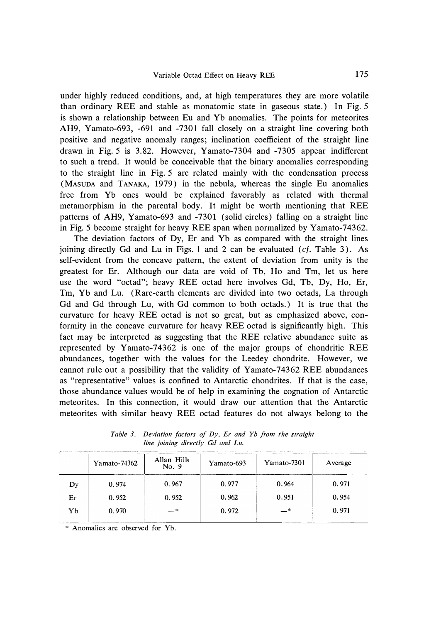under highly reduced conditions, and, at high temperatures they are more volatile than ordinary REE and stable as monatomic state in gaseous state.) In Fig. 5 is shown a relationship between Eu and Yb anomalies. The points for meteorites AH9, Yamato-693, -691 and -7301 fall closely on a straight line covering both positive and negative anomaly ranges; inclination coefficient of the straight line drawn in Fig. 5 is 3.82. However, Yamato-7304 and -7305 appear indifferent to such a trend. It would be conceivable that the binary anomalies corresponding to the straight line in Fig. 5 are related mainly with the condensation process (MASUDA and TANAKA, 1979) in the nebula, whereas the single Eu anomalies free from Yb ones would be explained favorably as related with thermal metamorphism in the parental body. It might be worth mentioning that REE patterns of AH9, Yamato-693 and -7301 (solid circles) falling on a straight line in Fig. 5 become straight for heavy REE span when normalized by Yamato-74362.

The deviation factors of Dy, Er and Yb as compared with the straight lines joining directly Gd and Lu in Figs. 1 and 2 can be evaluated *(cf.* Table 3). As self-evident from the concave pattern, the extent of deviation from unity is the greatest for Er. Although our data are void of Tb, Ho and Tm, let us here use the word "octad"; heavy REE octad here involves Gd, Tb, Dy, Ho, Er, Tm, Yb and Lu. (Rare-earth elements are divided into two octads, La through Gd and Gd through Lu, with Gd common to both octads.) It is true that the curvature for heavy REE octad is not so great, but as emphasized above, conformity in the concave curvature for heavy REE octad is significantly high. This fact may be interpreted as suggesting that the REE relative abundance suite as represented by Yamato-74362 is one of the major groups of chondritic REE abundances, together with the values for the Leedey chondrite. However, we cannot rule out a possibility that the validity of Yamato-7 4362 REE abundances as "representative" values is confined to Antarctic chondrites. If that is the case, those abundance values would be of help in examining the cognation of Antarctic meteorites. In this connection, it would draw our attention that the Antarctic meteorites with similar heavy REE octad features do not always belong to the

| THE R. P. LEWIS CO., LANSING MICHAEL AND PROPERTY AND ASSESSMENT ACCOUNTATIONS AND ARRESTS TO A RELEASED FOR THE SHAKE COMPUTER COMPUTER CONTINUES TO A RELEASED FOR AN ALTHORIZED AND ALTHORIZED AT A RELEASED FOR A RELEASED |              |                      |            |             |         |  |  |  |  |
|--------------------------------------------------------------------------------------------------------------------------------------------------------------------------------------------------------------------------------|--------------|----------------------|------------|-------------|---------|--|--|--|--|
|                                                                                                                                                                                                                                | Yamato-74362 | Allan Hills<br>No. 9 | Yamato-693 | Yamato-7301 | Average |  |  |  |  |
| $\mathbf{D}$                                                                                                                                                                                                                   | 0.974        | 0.967                | 0.977      | 0.964       | 0.971   |  |  |  |  |
| Er                                                                                                                                                                                                                             | 0.952        | 0.952                | 0.962      | 0.951       | 0.954   |  |  |  |  |
| Yb                                                                                                                                                                                                                             | 0.970        | — *                  | 0.972      | - *         | 0.971   |  |  |  |  |
|                                                                                                                                                                                                                                |              |                      |            |             |         |  |  |  |  |

*Table 3. Deviation factors of Dy, Er and Yb from the straight line joining directly Gd and Lu.* 

\* Anomalies are observed for Yb.